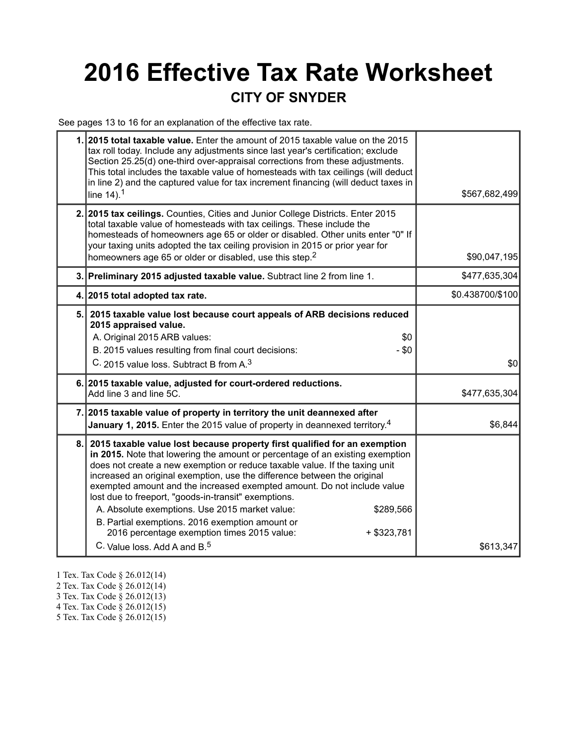## **2016 Effective Tax Rate Worksheet CITY OF SNYDER**

See pages 13 to 16 for an explanation of the effective tax rate.

| 1. 2015 total taxable value. Enter the amount of 2015 taxable value on the 2015<br>tax roll today. Include any adjustments since last year's certification; exclude<br>Section 25.25(d) one-third over-appraisal corrections from these adjustments.<br>This total includes the taxable value of homesteads with tax ceilings (will deduct<br>in line 2) and the captured value for tax increment financing (will deduct taxes in<br>line $14$ ). <sup>1</sup>                                                                                                                                                                                                                            | \$567,682,499    |
|-------------------------------------------------------------------------------------------------------------------------------------------------------------------------------------------------------------------------------------------------------------------------------------------------------------------------------------------------------------------------------------------------------------------------------------------------------------------------------------------------------------------------------------------------------------------------------------------------------------------------------------------------------------------------------------------|------------------|
| 2. 2015 tax ceilings. Counties, Cities and Junior College Districts. Enter 2015<br>total taxable value of homesteads with tax ceilings. These include the<br>homesteads of homeowners age 65 or older or disabled. Other units enter "0" If<br>your taxing units adopted the tax ceiling provision in 2015 or prior year for<br>homeowners age 65 or older or disabled, use this step. <sup>2</sup>                                                                                                                                                                                                                                                                                       | \$90,047,195     |
| 3. Preliminary 2015 adjusted taxable value. Subtract line 2 from line 1.                                                                                                                                                                                                                                                                                                                                                                                                                                                                                                                                                                                                                  | \$477,635,304    |
| 4. 2015 total adopted tax rate.                                                                                                                                                                                                                                                                                                                                                                                                                                                                                                                                                                                                                                                           | \$0.438700/\$100 |
| 5. 2015 taxable value lost because court appeals of ARB decisions reduced<br>2015 appraised value.<br>A. Original 2015 ARB values:<br>\$0<br>B. 2015 values resulting from final court decisions:<br>$- $0$<br>C. 2015 value loss. Subtract B from A. <sup>3</sup>                                                                                                                                                                                                                                                                                                                                                                                                                        | \$0              |
| 6. 2015 taxable value, adjusted for court-ordered reductions.<br>Add line 3 and line 5C.                                                                                                                                                                                                                                                                                                                                                                                                                                                                                                                                                                                                  | \$477,635,304    |
| 7. 2015 taxable value of property in territory the unit deannexed after<br>January 1, 2015. Enter the 2015 value of property in deannexed territory. <sup>4</sup>                                                                                                                                                                                                                                                                                                                                                                                                                                                                                                                         | \$6,844          |
| 8. 2015 taxable value lost because property first qualified for an exemption<br>in 2015. Note that lowering the amount or percentage of an existing exemption<br>does not create a new exemption or reduce taxable value. If the taxing unit<br>increased an original exemption, use the difference between the original<br>exempted amount and the increased exempted amount. Do not include value<br>lost due to freeport, "goods-in-transit" exemptions.<br>A. Absolute exemptions. Use 2015 market value:<br>\$289,566<br>B. Partial exemptions. 2016 exemption amount or<br>2016 percentage exemption times 2015 value:<br>$+$ \$323,781<br>C. Value loss. Add A and B. <sup>5</sup> | \$613,347        |

- 1 Tex. Tax Code § 26.012(14)
- 2 Tex. Tax Code § 26.012(14)
- 3 Tex. Tax Code § 26.012(13)
- 4 Tex. Tax Code § 26.012(15)
- 5 Tex. Tax Code § 26.012(15)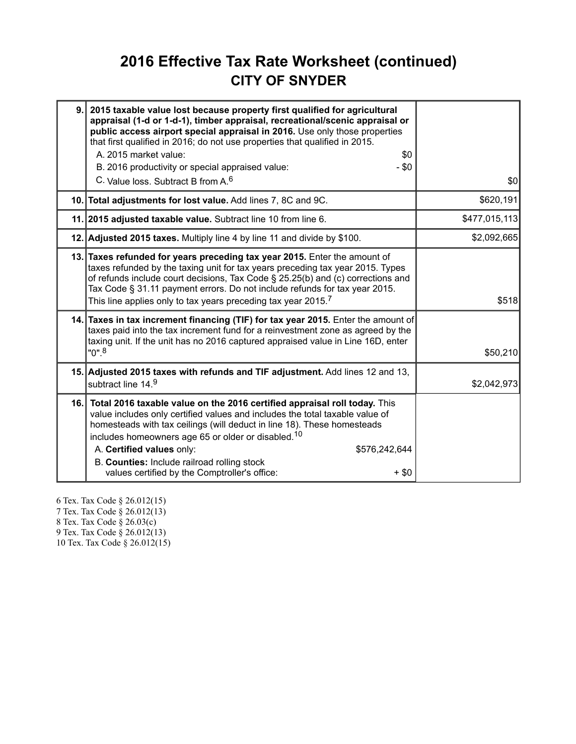#### **2016 Effective Tax Rate Worksheet (continued) CITY OF SNYDER**

| 9.   | 2015 taxable value lost because property first qualified for agricultural<br>appraisal (1-d or 1-d-1), timber appraisal, recreational/scenic appraisal or<br>public access airport special appraisal in 2016. Use only those properties<br>that first qualified in 2016; do not use properties that qualified in 2015.<br>A. 2015 market value:<br>\$0<br>B. 2016 productivity or special appraised value:<br>- \$0<br>C. Value loss, Subtract B from A. <sup>6</sup> | \$0           |
|------|-----------------------------------------------------------------------------------------------------------------------------------------------------------------------------------------------------------------------------------------------------------------------------------------------------------------------------------------------------------------------------------------------------------------------------------------------------------------------|---------------|
|      | 10. Total adjustments for lost value. Add lines 7, 8C and 9C.                                                                                                                                                                                                                                                                                                                                                                                                         | \$620,191     |
|      |                                                                                                                                                                                                                                                                                                                                                                                                                                                                       |               |
|      | 11. 2015 adjusted taxable value. Subtract line 10 from line 6.                                                                                                                                                                                                                                                                                                                                                                                                        | \$477,015,113 |
|      | 12. Adjusted 2015 taxes. Multiply line 4 by line 11 and divide by \$100.                                                                                                                                                                                                                                                                                                                                                                                              | \$2,092,665   |
|      | 13. Taxes refunded for years preceding tax year 2015. Enter the amount of<br>taxes refunded by the taxing unit for tax years preceding tax year 2015. Types<br>of refunds include court decisions, Tax Code § 25.25(b) and (c) corrections and<br>Tax Code § 31.11 payment errors. Do not include refunds for tax year 2015.<br>This line applies only to tax years preceding tax year 2015. $^7\,$                                                                   | \$518         |
|      | 14. Taxes in tax increment financing (TIF) for tax year 2015. Enter the amount of<br>taxes paid into the tax increment fund for a reinvestment zone as agreed by the<br>taxing unit. If the unit has no 2016 captured appraised value in Line 16D, enter<br>"0". <sup>8</sup>                                                                                                                                                                                         | \$50,210      |
|      | 15. Adjusted 2015 taxes with refunds and TIF adjustment. Add lines 12 and 13,<br>subtract line 14.9                                                                                                                                                                                                                                                                                                                                                                   | \$2,042,973   |
| 16.1 | Total 2016 taxable value on the 2016 certified appraisal roll today. This<br>value includes only certified values and includes the total taxable value of<br>homesteads with tax ceilings (will deduct in line 18). These homesteads<br>includes homeowners age 65 or older or disabled. <sup>10</sup><br>A. Certified values only:<br>\$576,242,644<br>B. Counties: Include railroad rolling stock<br>values certified by the Comptroller's office:<br>+ \$0         |               |

6 Tex. Tax Code § 26.012(15) 7 Tex. Tax Code § 26.012(13) 8 Tex. Tax Code § 26.03(c) 9 Tex. Tax Code § 26.012(13) 10 Tex. Tax Code § 26.012(15)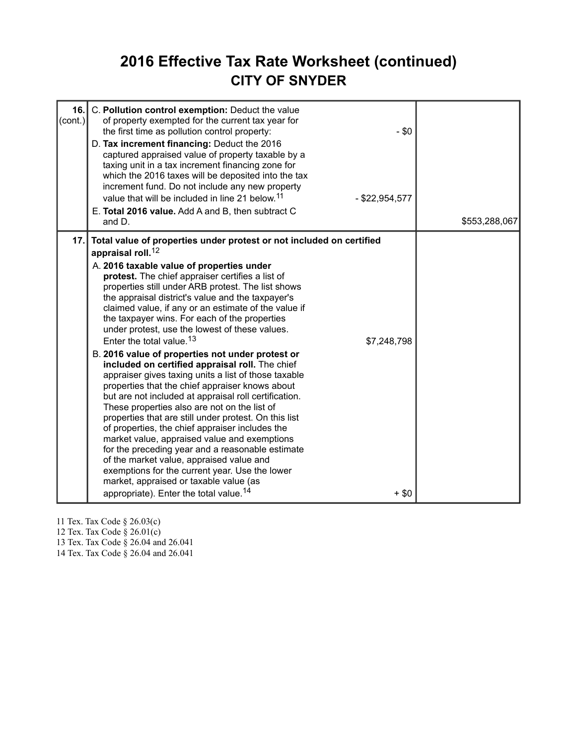#### **2016 Effective Tax Rate Worksheet (continued) CITY OF SNYDER**

| 16.<br>(cont.) | C. Pollution control exemption: Deduct the value<br>of property exempted for the current tax year for<br>the first time as pollution control property:<br>D. Tax increment financing: Deduct the 2016<br>captured appraised value of property taxable by a<br>taxing unit in a tax increment financing zone for<br>which the 2016 taxes will be deposited into the tax<br>increment fund. Do not include any new property<br>value that will be included in line 21 below. <sup>11</sup><br>E. Total 2016 value. Add A and B, then subtract C<br>and D.                                                                                                                                                                                                                                                                                                                                                                                                                                                                                                                                                                                                                                                                                                       | $- $0$<br>$-$ \$22,954,577 | \$553,288,067 |
|----------------|---------------------------------------------------------------------------------------------------------------------------------------------------------------------------------------------------------------------------------------------------------------------------------------------------------------------------------------------------------------------------------------------------------------------------------------------------------------------------------------------------------------------------------------------------------------------------------------------------------------------------------------------------------------------------------------------------------------------------------------------------------------------------------------------------------------------------------------------------------------------------------------------------------------------------------------------------------------------------------------------------------------------------------------------------------------------------------------------------------------------------------------------------------------------------------------------------------------------------------------------------------------|----------------------------|---------------|
| 17.1           | Total value of properties under protest or not included on certified<br>appraisal roll. <sup>12</sup><br>A. 2016 taxable value of properties under<br>protest. The chief appraiser certifies a list of<br>properties still under ARB protest. The list shows<br>the appraisal district's value and the taxpayer's<br>claimed value, if any or an estimate of the value if<br>the taxpayer wins. For each of the properties<br>under protest, use the lowest of these values.<br>Enter the total value. <sup>13</sup><br>B. 2016 value of properties not under protest or<br>included on certified appraisal roll. The chief<br>appraiser gives taxing units a list of those taxable<br>properties that the chief appraiser knows about<br>but are not included at appraisal roll certification.<br>These properties also are not on the list of<br>properties that are still under protest. On this list<br>of properties, the chief appraiser includes the<br>market value, appraised value and exemptions<br>for the preceding year and a reasonable estimate<br>of the market value, appraised value and<br>exemptions for the current year. Use the lower<br>market, appraised or taxable value (as<br>appropriate). Enter the total value. <sup>14</sup> | \$7,248,798<br>$+$ \$0     |               |

11 Tex. Tax Code § 26.03(c)

12 Tex. Tax Code § 26.01(c)

13 Tex. Tax Code § 26.04 and 26.041

14 Tex. Tax Code § 26.04 and 26.041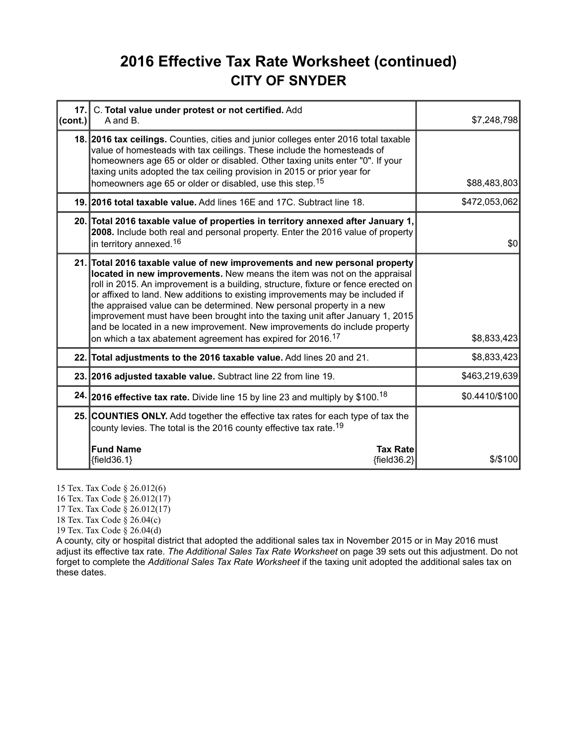#### **2016 Effective Tax Rate Worksheet (continued) CITY OF SNYDER**

| 17.<br>(cont.) | C. Total value under protest or not certified. Add<br>A and B.                                                                                                                                                                                                                                                                                                                                                                                                                                                                                                                                                                                 | \$7,248,798    |
|----------------|------------------------------------------------------------------------------------------------------------------------------------------------------------------------------------------------------------------------------------------------------------------------------------------------------------------------------------------------------------------------------------------------------------------------------------------------------------------------------------------------------------------------------------------------------------------------------------------------------------------------------------------------|----------------|
|                | 18. 2016 tax ceilings. Counties, cities and junior colleges enter 2016 total taxable<br>value of homesteads with tax ceilings. These include the homesteads of<br>homeowners age 65 or older or disabled. Other taxing units enter "0". If your<br>taxing units adopted the tax ceiling provision in 2015 or prior year for<br>homeowners age 65 or older or disabled, use this step. <sup>15</sup>                                                                                                                                                                                                                                            | \$88,483,803   |
|                | 19. 2016 total taxable value. Add lines 16E and 17C. Subtract line 18.                                                                                                                                                                                                                                                                                                                                                                                                                                                                                                                                                                         | \$472,053,062  |
|                | 20. Total 2016 taxable value of properties in territory annexed after January 1,<br>2008. Include both real and personal property. Enter the 2016 value of property<br>in territory annexed. <sup>16</sup>                                                                                                                                                                                                                                                                                                                                                                                                                                     | \$0            |
|                | 21. Total 2016 taxable value of new improvements and new personal property<br>located in new improvements. New means the item was not on the appraisal<br>roll in 2015. An improvement is a building, structure, fixture or fence erected on<br>or affixed to land. New additions to existing improvements may be included if<br>the appraised value can be determined. New personal property in a new<br>improvement must have been brought into the taxing unit after January 1, 2015<br>and be located in a new improvement. New improvements do include property<br>on which a tax abatement agreement has expired for 2016. <sup>17</sup> | \$8,833,423    |
|                | 22. Total adjustments to the 2016 taxable value. Add lines 20 and 21.                                                                                                                                                                                                                                                                                                                                                                                                                                                                                                                                                                          | \$8,833,423    |
|                | 23. 2016 adjusted taxable value. Subtract line 22 from line 19.                                                                                                                                                                                                                                                                                                                                                                                                                                                                                                                                                                                | \$463,219,639  |
|                | 24. 2016 effective tax rate. Divide line 15 by line 23 and multiply by \$100. <sup>18</sup>                                                                                                                                                                                                                                                                                                                                                                                                                                                                                                                                                    | \$0.4410/\$100 |
|                | 25. COUNTIES ONLY. Add together the effective tax rates for each type of tax the<br>county levies. The total is the 2016 county effective tax rate. <sup>19</sup>                                                                                                                                                                                                                                                                                                                                                                                                                                                                              |                |
|                | <b>Fund Name</b><br><b>Tax Rate</b><br>${field36.1}$<br>${field36.2}$                                                                                                                                                                                                                                                                                                                                                                                                                                                                                                                                                                          | $$$ /\$100     |

15 Tex. Tax Code § 26.012(6)

16 Tex. Tax Code § 26.012(17)

17 Tex. Tax Code § 26.012(17)

18 Tex. Tax Code § 26.04(c)

19 Tex. Tax Code § 26.04(d)

A county, city or hospital district that adopted the additional sales tax in November 2015 or in May 2016 must adjust its effective tax rate. *The Additional Sales Tax Rate Worksheet* on page 39 sets out this adjustment. Do not forget to complete the *Additional Sales Tax Rate Worksheet* if the taxing unit adopted the additional sales tax on these dates.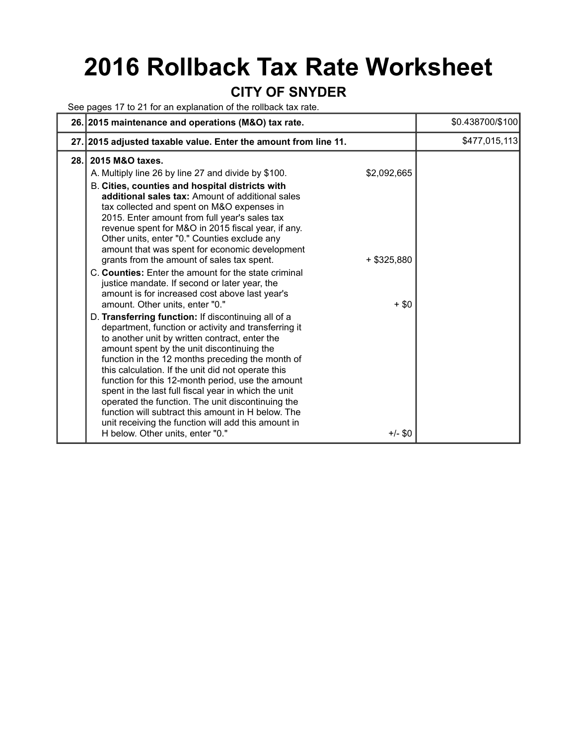# **2016 Rollback Tax Rate Worksheet**

#### **CITY OF SNYDER**

See pages 17 to 21 for an explanation of the rollback tax rate.

|     | 26. 2015 maintenance and operations (M&O) tax rate.                                                                                                                                                                                                                                                                                                                                                                                                                                                                                                                                                                                                                                                                           |                              | \$0.438700/\$100 |
|-----|-------------------------------------------------------------------------------------------------------------------------------------------------------------------------------------------------------------------------------------------------------------------------------------------------------------------------------------------------------------------------------------------------------------------------------------------------------------------------------------------------------------------------------------------------------------------------------------------------------------------------------------------------------------------------------------------------------------------------------|------------------------------|------------------|
|     | 27. 2015 adjusted taxable value. Enter the amount from line 11.                                                                                                                                                                                                                                                                                                                                                                                                                                                                                                                                                                                                                                                               |                              | \$477,015,113    |
| 28. | 2015 M&O taxes.<br>A. Multiply line 26 by line 27 and divide by \$100.<br>B. Cities, counties and hospital districts with<br>additional sales tax: Amount of additional sales<br>tax collected and spent on M&O expenses in<br>2015. Enter amount from full year's sales tax<br>revenue spent for M&O in 2015 fiscal year, if any.<br>Other units, enter "0." Counties exclude any<br>amount that was spent for economic development<br>grants from the amount of sales tax spent.<br>C. Counties: Enter the amount for the state criminal<br>justice mandate. If second or later year, the                                                                                                                                   | \$2,092,665<br>$+$ \$325,880 |                  |
|     | amount is for increased cost above last year's<br>amount. Other units, enter "0."<br>D. Transferring function: If discontinuing all of a<br>department, function or activity and transferring it<br>to another unit by written contract, enter the<br>amount spent by the unit discontinuing the<br>function in the 12 months preceding the month of<br>this calculation. If the unit did not operate this<br>function for this 12-month period, use the amount<br>spent in the last full fiscal year in which the unit<br>operated the function. The unit discontinuing the<br>function will subtract this amount in H below. The<br>unit receiving the function will add this amount in<br>H below. Other units, enter "0." | $+ $0$<br>$+/-$ \$0          |                  |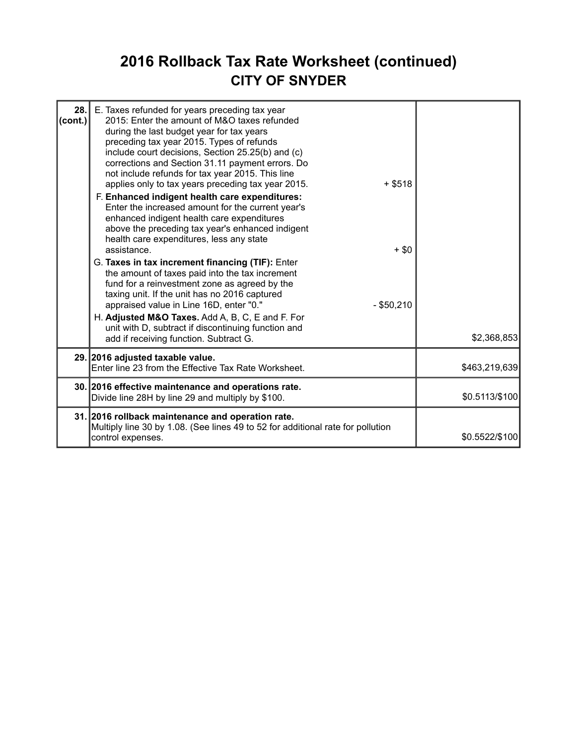### **2016 Rollback Tax Rate Worksheet (continued) CITY OF SNYDER**

| 28.<br>(cont.) | E. Taxes refunded for years preceding tax year<br>2015: Enter the amount of M&O taxes refunded<br>during the last budget year for tax years<br>preceding tax year 2015. Types of refunds<br>include court decisions, Section 25.25(b) and (c)<br>corrections and Section 31.11 payment errors. Do<br>not include refunds for tax year 2015. This line<br>applies only to tax years preceding tax year 2015.<br>$+$ \$518<br>F. Enhanced indigent health care expenditures:<br>Enter the increased amount for the current year's<br>enhanced indigent health care expenditures<br>above the preceding tax year's enhanced indigent<br>health care expenditures, less any state<br>assistance.<br>$+$ \$0<br>G. Taxes in tax increment financing (TIF): Enter<br>the amount of taxes paid into the tax increment<br>fund for a reinvestment zone as agreed by the<br>taxing unit. If the unit has no 2016 captured<br>appraised value in Line 16D, enter "0."<br>$-$ \$50,210<br>H. Adjusted M&O Taxes. Add A, B, C, E and F. For<br>unit with D, subtract if discontinuing function and<br>add if receiving function. Subtract G. | \$2,368,853    |
|----------------|----------------------------------------------------------------------------------------------------------------------------------------------------------------------------------------------------------------------------------------------------------------------------------------------------------------------------------------------------------------------------------------------------------------------------------------------------------------------------------------------------------------------------------------------------------------------------------------------------------------------------------------------------------------------------------------------------------------------------------------------------------------------------------------------------------------------------------------------------------------------------------------------------------------------------------------------------------------------------------------------------------------------------------------------------------------------------------------------------------------------------------|----------------|
|                | 29. 2016 adjusted taxable value.<br>Enter line 23 from the Effective Tax Rate Worksheet.                                                                                                                                                                                                                                                                                                                                                                                                                                                                                                                                                                                                                                                                                                                                                                                                                                                                                                                                                                                                                                         | \$463,219,639  |
|                | 30. 2016 effective maintenance and operations rate.<br>Divide line 28H by line 29 and multiply by \$100.                                                                                                                                                                                                                                                                                                                                                                                                                                                                                                                                                                                                                                                                                                                                                                                                                                                                                                                                                                                                                         | \$0.5113/\$100 |
|                | 31. 2016 rollback maintenance and operation rate.<br>Multiply line 30 by 1.08. (See lines 49 to 52 for additional rate for pollution<br>control expenses.                                                                                                                                                                                                                                                                                                                                                                                                                                                                                                                                                                                                                                                                                                                                                                                                                                                                                                                                                                        | \$0.5522/\$100 |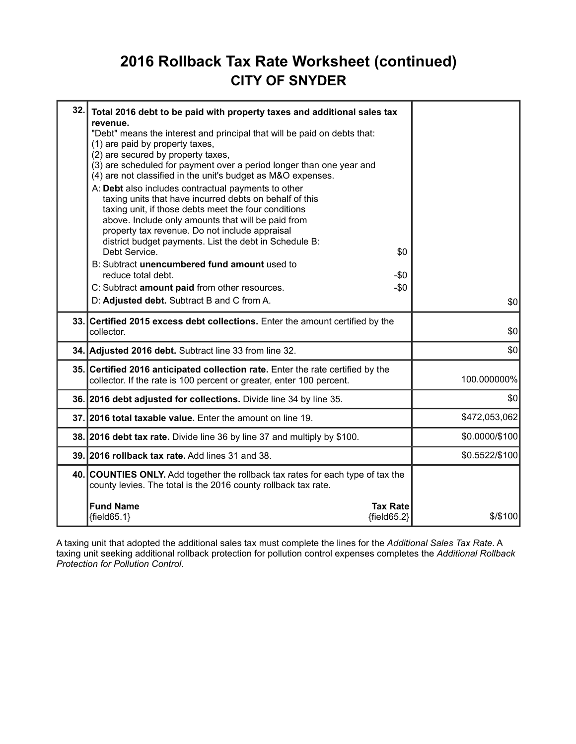#### **2016 Rollback Tax Rate Worksheet (continued) CITY OF SNYDER**

| 32. | Total 2016 debt to be paid with property taxes and additional sales tax<br>revenue.<br>"Debt" means the interest and principal that will be paid on debts that:<br>(1) are paid by property taxes,<br>(2) are secured by property taxes,<br>(3) are scheduled for payment over a period longer than one year and<br>(4) are not classified in the unit's budget as M&O expenses.<br>A: Debt also includes contractual payments to other<br>taxing units that have incurred debts on behalf of this<br>taxing unit, if those debts meet the four conditions<br>above. Include only amounts that will be paid from<br>property tax revenue. Do not include appraisal<br>district budget payments. List the debt in Schedule B:<br>Debt Service.<br>\$0<br>B: Subtract unencumbered fund amount used to<br>reduce total debt.<br>-\$0<br>C: Subtract amount paid from other resources.<br>$-\$0$<br>D: Adjusted debt. Subtract B and C from A. | \$0            |
|-----|---------------------------------------------------------------------------------------------------------------------------------------------------------------------------------------------------------------------------------------------------------------------------------------------------------------------------------------------------------------------------------------------------------------------------------------------------------------------------------------------------------------------------------------------------------------------------------------------------------------------------------------------------------------------------------------------------------------------------------------------------------------------------------------------------------------------------------------------------------------------------------------------------------------------------------------------|----------------|
|     | 33. Certified 2015 excess debt collections. Enter the amount certified by the                                                                                                                                                                                                                                                                                                                                                                                                                                                                                                                                                                                                                                                                                                                                                                                                                                                               |                |
|     | collector.                                                                                                                                                                                                                                                                                                                                                                                                                                                                                                                                                                                                                                                                                                                                                                                                                                                                                                                                  | \$0            |
|     | 34. Adjusted 2016 debt. Subtract line 33 from line 32.                                                                                                                                                                                                                                                                                                                                                                                                                                                                                                                                                                                                                                                                                                                                                                                                                                                                                      | \$0            |
|     | 35. Certified 2016 anticipated collection rate. Enter the rate certified by the<br>collector. If the rate is 100 percent or greater, enter 100 percent.                                                                                                                                                                                                                                                                                                                                                                                                                                                                                                                                                                                                                                                                                                                                                                                     | 100.000000%    |
|     | 36. 2016 debt adjusted for collections. Divide line 34 by line 35.                                                                                                                                                                                                                                                                                                                                                                                                                                                                                                                                                                                                                                                                                                                                                                                                                                                                          | \$0            |
|     | 37. 2016 total taxable value. Enter the amount on line 19.                                                                                                                                                                                                                                                                                                                                                                                                                                                                                                                                                                                                                                                                                                                                                                                                                                                                                  | \$472,053,062  |
|     | 38. 2016 debt tax rate. Divide line 36 by line 37 and multiply by \$100.                                                                                                                                                                                                                                                                                                                                                                                                                                                                                                                                                                                                                                                                                                                                                                                                                                                                    | \$0.0000/\$100 |
|     | 39. 2016 rollback tax rate. Add lines 31 and 38.                                                                                                                                                                                                                                                                                                                                                                                                                                                                                                                                                                                                                                                                                                                                                                                                                                                                                            | \$0.5522/\$100 |
|     | 40. COUNTIES ONLY. Add together the rollback tax rates for each type of tax the<br>county levies. The total is the 2016 county rollback tax rate.                                                                                                                                                                                                                                                                                                                                                                                                                                                                                                                                                                                                                                                                                                                                                                                           |                |
|     | <b>Fund Name</b><br><b>Tax Rate</b><br>${field65.1}$<br>${field65.2}$                                                                                                                                                                                                                                                                                                                                                                                                                                                                                                                                                                                                                                                                                                                                                                                                                                                                       | $$$ /\$100     |

A taxing unit that adopted the additional sales tax must complete the lines for the *Additional Sales Tax Rate*. A taxing unit seeking additional rollback protection for pollution control expenses completes the *Additional Rollback Protection for Pollution Control*.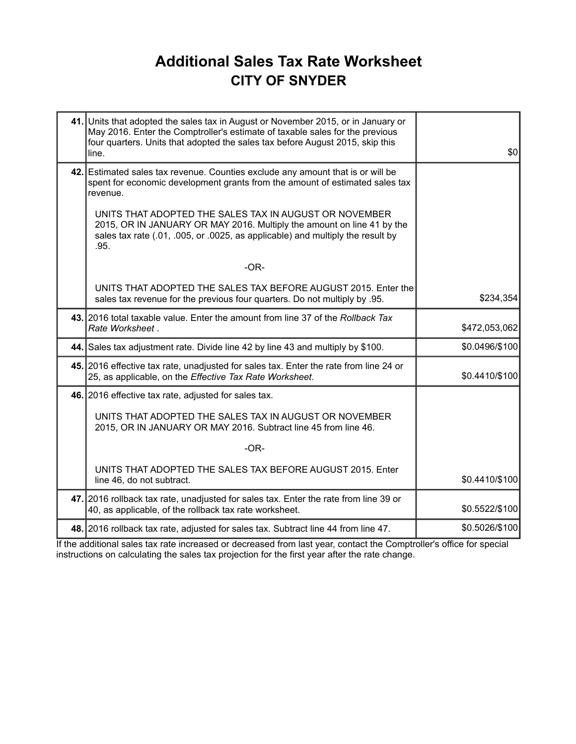#### **Additional Sales Tax Rate Worksheet CITY OF SNYDER**

| 41. Units that adopted the sales tax in August or November 2015, or in January or<br>May 2016. Enter the Comptroller's estimate of taxable sales for the previous<br>four quarters. Units that adopted the sales tax before August 2015, skip this<br>line. | \$0            |
|-------------------------------------------------------------------------------------------------------------------------------------------------------------------------------------------------------------------------------------------------------------|----------------|
| 42. Estimated sales tax revenue. Counties exclude any amount that is or will be<br>spent for economic development grants from the amount of estimated sales tax<br>revenue.                                                                                 |                |
| UNITS THAT ADOPTED THE SALES TAX IN AUGUST OR NOVEMBER<br>2015, OR IN JANUARY OR MAY 2016. Multiply the amount on line 41 by the<br>sales tax rate (.01, .005, or .0025, as applicable) and multiply the result by<br>.95.                                  |                |
| $-OR-$                                                                                                                                                                                                                                                      |                |
| UNITS THAT ADOPTED THE SALES TAX BEFORE AUGUST 2015. Enter the<br>sales tax revenue for the previous four quarters. Do not multiply by .95.                                                                                                                 | \$234,354      |
| 43. 2016 total taxable value. Enter the amount from line 37 of the Rollback Tax<br>Rate Worksheet.                                                                                                                                                          | \$472,053,062  |
| 44. Sales tax adjustment rate. Divide line 42 by line 43 and multiply by \$100.                                                                                                                                                                             | \$0.0496/\$100 |
| 45. 2016 effective tax rate, unadjusted for sales tax. Enter the rate from line 24 or<br>25, as applicable, on the Effective Tax Rate Worksheet.                                                                                                            | \$0.4410/\$100 |
| 46. 2016 effective tax rate, adjusted for sales tax.                                                                                                                                                                                                        |                |
| UNITS THAT ADOPTED THE SALES TAX IN AUGUST OR NOVEMBER<br>2015, OR IN JANUARY OR MAY 2016. Subtract line 45 from line 46.                                                                                                                                   |                |
| $-OR-$                                                                                                                                                                                                                                                      |                |
| UNITS THAT ADOPTED THE SALES TAX BEFORE AUGUST 2015. Enter<br>line 46, do not subtract.                                                                                                                                                                     | \$0.4410/\$100 |
| 47. 2016 rollback tax rate, unadjusted for sales tax. Enter the rate from line 39 or<br>40, as applicable, of the rollback tax rate worksheet.                                                                                                              | \$0.5522/\$100 |
| 48. 2016 rollback tax rate, adjusted for sales tax. Subtract line 44 from line 47.                                                                                                                                                                          | \$0.5026/\$100 |

If the additional sales tax rate increased or decreased from last year, contact the Comptroller's office for special instructions on calculating the sales tax projection for the first year after the rate change.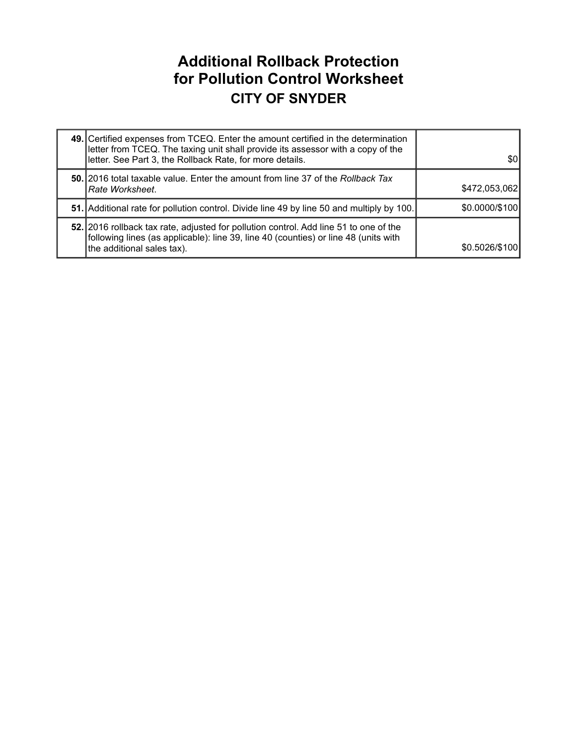#### **Additional Rollback Protection for Pollution Control Worksheet CITY OF SNYDER**

| 49. Certified expenses from TCEQ. Enter the amount certified in the determination<br>letter from TCEQ. The taxing unit shall provide its assessor with a copy of the<br>letter. See Part 3, the Rollback Rate, for more details. | \$0            |
|----------------------------------------------------------------------------------------------------------------------------------------------------------------------------------------------------------------------------------|----------------|
| <b>50.</b> 2016 total taxable value. Enter the amount from line 37 of the Rollback Tax<br> Rate Worksheet.                                                                                                                       | \$472,053,062  |
| 51. Additional rate for pollution control. Divide line 49 by line 50 and multiply by 100.                                                                                                                                        | \$0.0000/\$100 |
| 52. 2016 rollback tax rate, adjusted for pollution control. Add line 51 to one of the<br>following lines (as applicable): line 39, line 40 (counties) or line 48 (units with<br>the additional sales tax).                       | \$0.5026/\$100 |